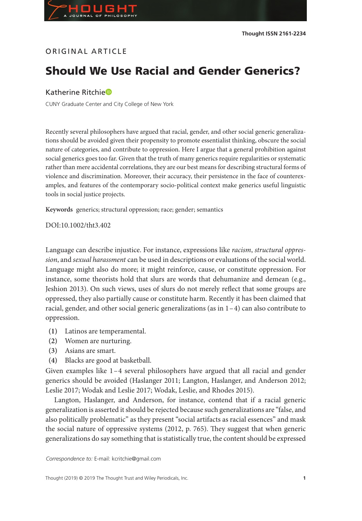# ORIGINAL ARTICLE

1006

# **Should We Use Racial and Gender Generics?**

#### Katherine Ritchi[e](https://orcid.org/0000-0003-0824-0482)

CUNY Graduate Center and City College of New York

Recently several philosophers have argued that racial, gender, and other social generic generalizations should be avoided given their propensity to promote essentialist thinking, obscure the social nature of categories, and contribute to oppression. Here I argue that a general prohibition against social generics goes too far. Given that the truth of many generics require regularities or systematic rather than mere accidental correlations, they are our best means for describing structural forms of violence and discrimination. Moreover, their accuracy, their persistence in the face of counterexamples, and features of the contemporary socio-political context make generics useful linguistic tools in social justice projects.

**Keywords** generics; structural oppression; race; gender; semantics

DOI:10.1002/tht3.402

Language can describe injustice. For instance, expressions like *racism*, *structural oppression*, and *sexual harassment* can be used in descriptions or evaluations of the social world. Language might also do more; it might reinforce, cause, or constitute oppression. For instance, some theorists hold that slurs are words that dehumanize and demean (e.g., Jeshion 2013). On such views, uses of slurs do not merely reflect that some groups are oppressed, they also partially cause or constitute harm. Recently it has been claimed that racial, gender, and other social generic generalizations (as in  $1-4$ ) can also contribute to oppression.

- **(1)** Latinos are temperamental.
- **(2)** Women are nurturing.
- **(3)** Asians are smart.
- **(4)** Blacks are good at basketball.

Given examples like 1–4 several philosophers have argued that all racial and gender generics should be avoided (Haslanger 2011; Langton, Haslanger, and Anderson 2012; Leslie 2017; Wodak and Leslie 2017; Wodak, Leslie, and Rhodes 2015).

Langton, Haslanger, and Anderson, for instance, contend that if a racial generic generalization is asserted it should be rejected because such generalizations are "false, and also politically problematic" as they present "social artifacts as racial essences" and mask the social nature of oppressive systems (2012, p. 765). They suggest that when generic generalizations do say something that is statistically true, the content should be expressed

*Correspondence to:* E-mail: kcritchie@gmail.com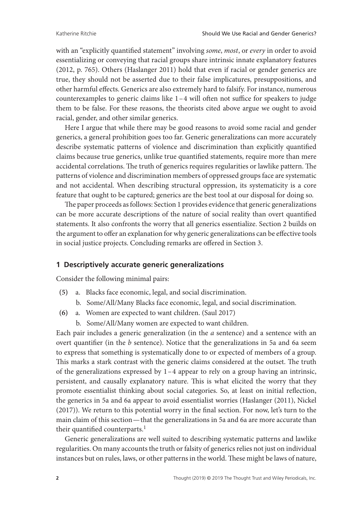with an "explicitly quantified statement" involving *some*, *most*, or *every* in order to avoid essentializing or conveying that racial groups share intrinsic innate explanatory features (2012, p. 765). Others (Haslanger 2011) hold that even if racial or gender generics are true, they should not be asserted due to their false implicatures, presuppositions, and other harmful effects. Generics are also extremely hard to falsify. For instance, numerous counterexamples to generic claims like 1–4 will often not suffice for speakers to judge them to be false. For these reasons, the theorists cited above argue we ought to avoid racial, gender, and other similar generics.

Here I argue that while there may be good reasons to avoid some racial and gender generics, a general prohibition goes too far. Generic generalizations can more accurately describe systematic patterns of violence and discrimination than explicitly quantified claims because true generics, unlike true quantified statements, require more than mere accidental correlations. The truth of generics requires regularities or lawlike pattern. The patterns of violence and discrimination members of oppressed groups face are systematic and not accidental. When describing structural oppression, its systematicity is a core feature that ought to be captured; generics are the best tool at our disposal for doing so.

The paper proceeds as follows: Section 1 provides evidence that generic generalizations can be more accurate descriptions of the nature of social reality than overt quantified statements. It also confronts the worry that all generics essentialize. Section 2 builds on the argument to offer an explanation for why generic generalizations can be effective tools in social justice projects. Concluding remarks are offered in Section 3.

## **1 Descriptively accurate generic generalizations**

Consider the following minimal pairs:

- **(5)** a. Blacks face economic, legal, and social discrimination.
	- b. Some/All/Many Blacks face economic, legal, and social discrimination.
- **(6)** a. Women are expected to want children. (Saul 2017)
	- b. Some/All/Many women are expected to want children.

Each pair includes a generic generalization (in the *a* sentence) and a sentence with an overt quantifier (in the *b* sentence). Notice that the generalizations in 5a and 6a seem to express that something is systematically done to or expected of members of a group. This marks a stark contrast with the generic claims considered at the outset. The truth of the generalizations expressed by 1–4 appear to rely on a group having an intrinsic, persistent, and causally explanatory nature. This is what elicited the worry that they promote essentialist thinking about social categories. So, at least on initial reflection, the generics in 5a and 6a appear to avoid essentialist worries (Haslanger (2011), Nickel (2017)). We return to this potential worry in the final section. For now, let's turn to the main claim of this section— that the generalizations in 5a and 6a are more accurate than their quantified counterparts.<sup>1</sup>

Generic generalizations are well suited to describing systematic patterns and lawlike regularities. On many accounts the truth or falsity of generics relies not just on individual instances but on rules, laws, or other patterns in the world. These might be laws of nature,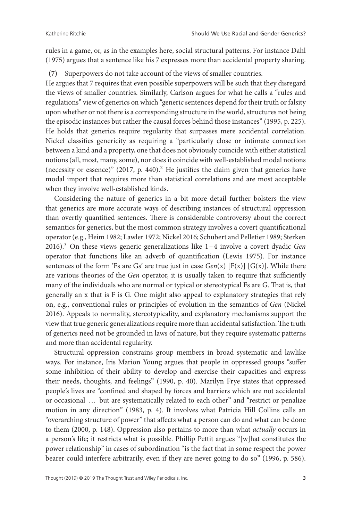rules in a game, or, as in the examples here, social structural patterns. For instance Dahl (1975) argues that a sentence like his 7 expresses more than accidental property sharing.

**(7)** Superpowers do not take account of the views of smaller countries.

He argues that 7 requires that even possible superpowers will be such that they disregard the views of smaller countries. Similarly, Carlson argues for what he calls a "rules and regulations" view of generics on which "generic sentences depend for their truth or falsity upon whether or not there is a corresponding structure in the world, structures not being the episodic instances but rather the causal forces behind those instances" (1995, p. 225). He holds that generics require regularity that surpasses mere accidental correlation. Nickel classifies genericity as requiring a "particularly close or intimate connection between a kind and a property, one that does not obviously coincide with either statistical notions (all, most, many, some), nor does it coincide with well-established modal notions (necessity or essence)"  $(2017, p. 440).$ <sup>2</sup> He justifies the claim given that generics have modal import that requires more than statistical correlations and are most acceptable when they involve well-established kinds.

Considering the nature of generics in a bit more detail further bolsters the view that generics are more accurate ways of describing instances of structural oppression than overtly quantified sentences. There is considerable controversy about the correct semantics for generics, but the most common strategy involves a covert quantificational operator (e.g., Heim 1982; Lawler 1972; Nickel 2016; Schubert and Pelletier 1989; Sterken 2016).3 On these views generic generalizations like 1–4 involve a covert dyadic *Gen* operator that functions like an adverb of quantification (Lewis 1975). For instance sentences of the form 'Fs are Gs' are true just in case  $Gen(x)$  [F(x)] [G(x)]. While there are various theories of the *Gen* operator, it is usually taken to require that sufficiently many of the individuals who are normal or typical or stereotypical Fs are G. That is, that generally an x that is F is G. One might also appeal to explanatory strategies that rely on, e.g., conventional rules or principles of evolution in the semantics of *Gen* (Nickel 2016). Appeals to normality, stereotypicality, and explanatory mechanisms support the view that true generic generalizations require more than accidental satisfaction.The truth of generics need not be grounded in laws of nature, but they require systematic patterns and more than accidental regularity.

Structural oppression constrains group members in broad systematic and lawlike ways. For instance, Iris Marion Young argues that people in oppressed groups "suffer some inhibition of their ability to develop and exercise their capacities and express their needs, thoughts, and feelings" (1990, p. 40). Marilyn Frye states that oppressed people's lives are "confined and shaped by forces and barriers which are not accidental or occasional … but are systematically related to each other" and "restrict or penalize motion in any direction" (1983, p. 4). It involves what Patricia Hill Collins calls an "overarching structure of power" that affects what a person can do and what can be done to them (2000, p. 148). Oppression also pertains to more than what *actually* occurs in a person's life; it restricts what is possible. Phillip Pettit argues "[w]hat constitutes the power relationship" in cases of subordination "is the fact that in some respect the power bearer could interfere arbitrarily, even if they are never going to do so" (1996, p. 586).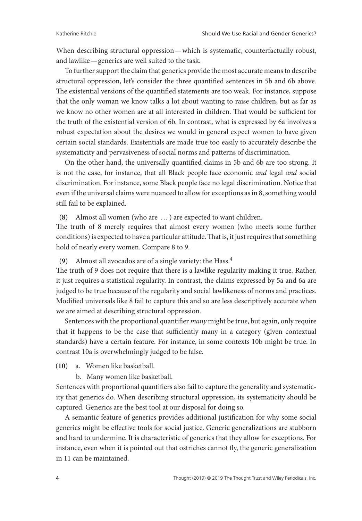When describing structural oppression—which is systematic, counterfactually robust, and lawlike—generics are well suited to the task.

To further support the claim that generics provide the most accurate means to describe structural oppression, let's consider the three quantified sentences in 5b and 6b above. The existential versions of the quantified statements are too weak. For instance, suppose that the only woman we know talks a lot about wanting to raise children, but as far as we know no other women are at all interested in children. That would be sufficient for the truth of the existential version of 6b. In contrast, what is expressed by 6a involves a robust expectation about the desires we would in general expect women to have given certain social standards. Existentials are made true too easily to accurately describe the systematicity and pervasiveness of social norms and patterns of discrimination.

On the other hand, the universally quantified claims in 5b and 6b are too strong. It is not the case, for instance, that all Black people face economic *and* legal *and* social discrimination. For instance, some Black people face no legal discrimination. Notice that even if the universal claims were nuanced to allow for exceptions as in 8, something would still fail to be explained.

**(8)** Almost all women (who are …) are expected to want children.

The truth of 8 merely requires that almost every women (who meets some further conditions) is expected to have a particular attitude.That is, it just requires that something hold of nearly every women. Compare 8 to 9.

**(9)** Almost all avocados are of a single variety: the Hass.4

The truth of 9 does not require that there is a lawlike regularity making it true. Rather, it just requires a statistical regularity. In contrast, the claims expressed by 5a and 6a are judged to be true because of the regularity and social lawlikeness of norms and practices. Modified universals like 8 fail to capture this and so are less descriptively accurate when we are aimed at describing structural oppression.

Sentences with the proportional quantifier *many* might be true, but again, only require that it happens to be the case that sufficiently many in a category (given contextual standards) have a certain feature. For instance, in some contexts 10b might be true. In contrast 10a is overwhelmingly judged to be false.

**(10)** a. Women like basketball.

b. Many women like basketball.

Sentences with proportional quantifiers also fail to capture the generality and systematicity that generics do. When describing structural oppression, its systematicity should be captured. Generics are the best tool at our disposal for doing so.

A semantic feature of generics provides additional justification for why some social generics might be effective tools for social justice. Generic generalizations are stubborn and hard to undermine. It is characteristic of generics that they allow for exceptions. For instance, even when it is pointed out that ostriches cannot fly, the generic generalization in 11 can be maintained.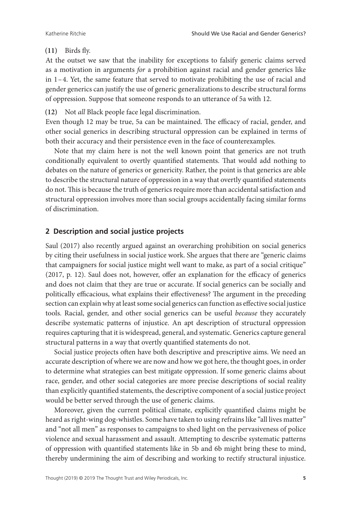# **(11)** Birds fly.

At the outset we saw that the inability for exceptions to falsify generic claims served as a motivation in arguments *for* a prohibition against racial and gender generics like in 1–4. Yet, the same feature that served to motivate prohibiting the use of racial and gender generics can justify the use of generic generalizations to describe structural forms of oppression. Suppose that someone responds to an utterance of 5a with 12.

# **(12)** Not *all* Black people face legal discrimination.

Even though 12 may be true, 5a can be maintained. The efficacy of racial, gender, and other social generics in describing structural oppression can be explained in terms of both their accuracy and their persistence even in the face of counterexamples.

Note that my claim here is not the well known point that generics are not truth conditionally equivalent to overtly quantified statements. That would add nothing to debates on the nature of generics or genericity. Rather, the point is that generics are able to describe the structural nature of oppression in a way that overtly quantified statements do not. This is because the truth of generics require more than accidental satisfaction and structural oppression involves more than social groups accidentally facing similar forms of discrimination.

# **2 Description and social justice projects**

Saul (2017) also recently argued against an overarching prohibition on social generics by citing their usefulness in social justice work. She argues that there are "generic claims that campaigners for social justice might well want to make, as part of a social critique" (2017, p. 12). Saul does not, however, offer an explanation for the efficacy of generics and does not claim that they are true or accurate. If social generics can be socially and politically efficacious, what explains their effectiveness? The argument in the preceding section can explain why at least some social generics can function as effective social justice tools. Racial, gender, and other social generics can be useful *because* they accurately describe systematic patterns of injustice. An apt description of structural oppression requires capturing that it is widespread, general, and systematic. Generics capture general structural patterns in a way that overtly quantified statements do not.

Social justice projects often have both descriptive and prescriptive aims. We need an accurate description of where we are now and how we got here, the thought goes, in order to determine what strategies can best mitigate oppression. If some generic claims about race, gender, and other social categories are more precise descriptions of social reality than explicitly quantified statements, the descriptive component of a social justice project would be better served through the use of generic claims.

Moreover, given the current political climate, explicitly quantified claims might be heard as right-wing dog-whistles. Some have taken to using refrains like "all lives matter" and "not all men" as responses to campaigns to shed light on the pervasiveness of police violence and sexual harassment and assault. Attempting to describe systematic patterns of oppression with quantified statements like in 5b and 6b might bring these to mind, thereby undermining the aim of describing and working to rectify structural injustice.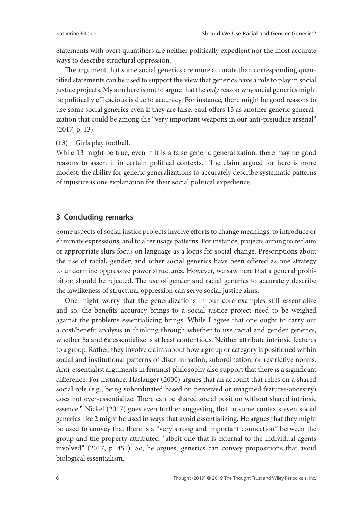Statements with overt quantifiers are neither politically expedient nor the most accurate ways to describe structural oppression.

The argument that some social generics are more accurate than corresponding quantified statements can be used to support the view that generics have a role to play in social justice projects. My aim here is not to argue that the *only* reason why social generics might be politically efficacious is due to accuracy. For instance, there might be good reasons to use some social generics even if they are false. Saul offers 13 as another generic generalization that could be among the "very important weapons in our anti-prejudice arsenal" (2017, p. 13).

**(13)** Girls play football.

While 13 might be true, even if it is a false generic generalization, there may be good reasons to assert it in certain political contexts.<sup>5</sup> The claim argued for here is more modest: the ability for generic generalizations to accurately describe systematic patterns of injustice is one explanation for their social political expedience.

### **3 Concluding remarks**

Some aspects of social justice projects involve efforts to change meanings, to introduce or eliminate expressions, and to alter usage patterns. For instance, projects aiming to reclaim or appropriate slurs focus on language as a locus for social change. Prescriptions about the use of racial, gender, and other social generics have been offered as one strategy to undermine oppressive power structures. However, we saw here that a general prohibition should be rejected. The use of gender and racial generics to accurately describe the lawlikeness of structural oppression can serve social justice aims.

One might worry that the generalizations in our core examples still essentialize and so, the benefits accuracy brings to a social justice project need to be weighed against the problems essentializing brings. While I agree that one ought to carry out a cost/benefit analysis in thinking through whether to use racial and gender generics, whether 5a and 6a essentialize is at least contentious. Neither attribute intrinsic features to a group. Rather, they involve claims about how a group or category is positioned within social and institutional patterns of discrimination, subordination, or restrictive norms. Anti-essentialist arguments in feminist philosophy also support that there is a significant difference. For instance, Haslanger (2000) argues that an account that relies on a shared social role (e.g., being subordinated based on perceived or imagined features/ancestry) does not over-essentialize. There can be shared social position without shared intrinsic essence.<sup>6</sup> Nickel (2017) goes even further suggesting that in some contexts even social generics like 2 might be used in ways that avoid essentializing. He argues that they might be used to convey that there is a "very strong and important connection" between the group and the property attributed, "albeit one that is external to the individual agents involved" (2017, p. 451). So, he argues, generics can convey propositions that avoid biological essentialism.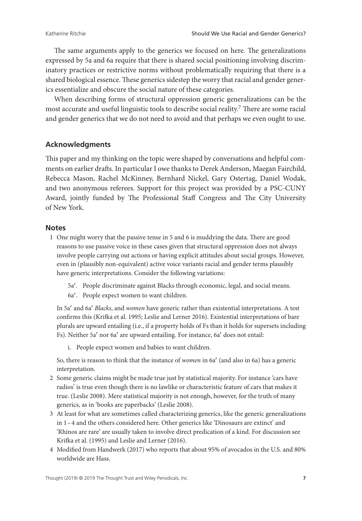The same arguments apply to the generics we focused on here. The generalizations expressed by 5a and 6a require that there is shared social positioning involving discriminatory practices or restrictive norms without problematically requiring that there is a shared biological essence. These generics sidestep the worry that racial and gender generics essentialize and obscure the social nature of these categories.

When describing forms of structural oppression generic generalizations can be the most accurate and useful linguistic tools to describe social reality.7 There are some racial and gender generics that we do not need to avoid and that perhaps we even ought to use.

#### **Acknowledgments**

This paper and my thinking on the topic were shaped by conversations and helpful comments on earlier drafts. In particular I owe thanks to Derek Anderson, Maegan Fairchild, Rebecca Mason, Rachel McKinney, Bernhard Nickel, Gary Ostertag, Daniel Wodak, and two anonymous referees. Support for this project was provided by a PSC-CUNY Award, jointly funded by The Professional Staff Congress and The City University of New York.

#### **Notes**

- 1 One might worry that the passive tense in 5 and 6 is muddying the data. There are good reasons to use passive voice in these cases given that structural oppression does not always involve people carrying out actions or having explicit attitudes about social groups. However, even in (plausibly non-equivalent) active voice variants racial and gender terms plausibly have generic interpretations. Consider the following variations:
	- 5a′ . People discriminate against Blacks through economic, legal, and social means.
	- 6a′ . People expect women to want children.

In 5a′ and 6a′ *Blacks*, and *women* have generic rather than existential interpretations. A test confirms this (Krifka et al. 1995; Leslie and Lerner 2016). Existential interpretations of bare plurals are upward entailing (i.e., if a property holds of Fs than it holds for supersets including Fs). Neither 5a′ nor 6a′ are upward entailing. For instance, 6a′ does not entail:

i. People expect women and babies to want children.

So, there is reason to think that the instance of *women* in 6a′ (and also in 6a) has a generic interpretation.

- 2 Some generic claims might be made true just by statistical majority. For instance 'cars have radios' is true even though there is no lawlike or characteristic feature of cars that makes it true. (Leslie 2008). Mere statistical majority is not enough, however, for the truth of many generics, as in 'books are paperbacks' (Leslie 2008).
- 3 At least for what are sometimes called characterizing generics, like the generic generalizations in 1–4 and the others considered here. Other generics like 'Dinosaurs are extinct' and 'Rhinos are rare' are usually taken to involve direct predication of a kind. For discussion see Krifka et al. (1995) and Leslie and Lerner (2016).
- 4 Modified from Handwerk (2017) who reports that about 95% of avocados in the U.S. and 80% worldwide are Hass.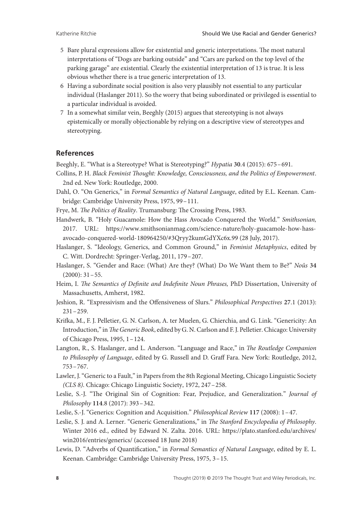- 5 Bare plural expressions allow for existential and generic interpretations. The most natural interpretations of "Dogs are barking outside" and "Cars are parked on the top level of the parking garage" are existential. Clearly the existential interpretation of 13 is true. It is less obvious whether there is a true generic interpretation of 13.
- 6 Having a subordinate social position is also very plausibly not essential to any particular individual (Haslanger 2011). So the worry that being subordinated or privileged is essential to a particular individual is avoided.
- 7 In a somewhat similar vein, Beeghly (2015) argues that stereotyping is not always epistemically or morally objectionable by relying on a descriptive view of stereotypes and stereotyping.

#### **References**

Beeghly, E. "What is a Stereotype? What is Stereotyping?" *Hypatia* **30**.4 (2015): 675–691.

- Collins, P. H. *Black Feminist Thought: Knowledge, Consciousness, and the Politics of Empowerment*. 2nd ed. New York: Routledge, 2000.
- Dahl, O. "On Generics," in *Formal Semantics of Natural Language*, edited by E.L. Keenan. Cambridge: Cambridge University Press, 1975, 99–111.
- Frye, M. *The Politics of Reality*. Trumansburg: The Crossing Press, 1983.
- Handwerk, B. "Holy Guacamole: How the Hass Avocado Conquered the World." *Smithsonian,* 2017. URL: [https://www.smithsonianmag.com/science-nature/holy-guacamole-how-hass](https://www.smithsonianmag.com/science-nature/holy-guacamole-how-hass-avocado-conquered-world-180964250/#3Qryy2kumGdYXc6x.99)[avocado-conquered-world-180964250/#3Qryy2kumGdYXc6x.99](https://www.smithsonianmag.com/science-nature/holy-guacamole-how-hass-avocado-conquered-world-180964250/#3Qryy2kumGdYXc6x.99) (28 July, 2017).
- Haslanger, S. "Ideology, Generics, and Common Ground," in *Feminist Metaphysics*, edited by C. Witt. Dordrecht: Springer-Verlag, 2011, 179–207.
- Haslanger, S. "Gender and Race: (What) Are they? (What) Do We Want them to Be?" *Noûs* **34**  $(2000): 31 - 55.$
- Heim, I. *The Semantics of Definite and Indefinite Noun Phrases,* PhD Dissertation, University of Massachusetts, Amherst, 1982.
- Jeshion, R. "Expressivism and the Offensiveness of Slurs." *Philosophical Perspectives* **27**.1 (2013): 231–259.
- Krifka, M., F. J. Pelletier, G. N. Carlson, A. ter Muelen, G. Chierchia, and G. Link. "Genericity: An Introduction," in*The Generic Book*, edited by G. N. Carlson and F. J. Pelletier. Chicago: University of Chicago Press, 1995, 1–124.
- Langton, R., S. Haslanger, and L. Anderson. "Language and Race," in *The Routledge Companion to Philosophy of Language*, edited by G. Russell and D. Graff Fara. New York: Routledge, 2012, 753–767.
- Lawler, J. "Generic to a Fault," in Papers from the 8th Regional Meeting, Chicago Linguistic Society *(CLS 8)*. Chicago: Chicago Linguistic Society, 1972, 247–258.
- Leslie, S.-J. "The Original Sin of Cognition: Fear, Prejudice, and Generalization." *Journal of Philosophy* **114**.8 (2017): 393–342.
- Leslie, S.-J. "Generics: Cognition and Acquisition." *Philosophical Review* **117** (2008): 1–47.
- Leslie, S. J. and A. Lerner. "Generic Generalizations," in *The Stanford Encyclopedia of Philosophy*. Winter 2016 ed., edited by Edward N. Zalta. 2016. URL: [https://plato.stanford.edu/archives/](https://plato.stanford.edu/archives/win2016/entries/generics/) [win2016/entries/generics/](https://plato.stanford.edu/archives/win2016/entries/generics/) (accessed 18 June 2018)
- Lewis, D. "Adverbs of Quantification," in *Formal Semantics of Natural Language*, edited by E. L. Keenan. Cambridge: Cambridge University Press, 1975, 3–15.